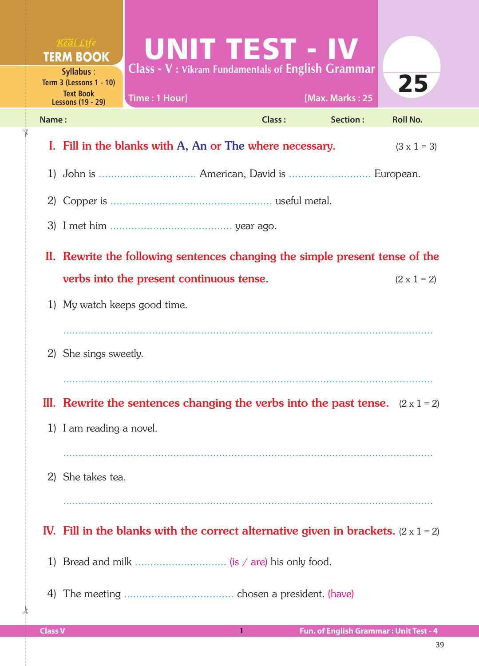| $R$ <i>eal</i> $Life$<br><b>TERM BOOK</b>                                                   | UNIT TEST - IV                                                                            |               |                 |                    |  |  |
|---------------------------------------------------------------------------------------------|-------------------------------------------------------------------------------------------|---------------|-----------------|--------------------|--|--|
| Syllabus:<br><b>Term 3 (Lessons 1 - 10)</b><br><b>Text Book</b><br><b>Lessons (19 - 29)</b> | <b>Class - V: Vikram Fundamentals of English Grammar</b><br>Time: 1 Hour]                 |               | [Max. Marks: 25 | 25                 |  |  |
| Name:                                                                                       |                                                                                           | <b>Class:</b> | Section:        | <b>Roll No.</b>    |  |  |
|                                                                                             | I. Fill in the blanks with A, An or The where necessary.                                  |               |                 | $(3 \times 1 = 3)$ |  |  |
|                                                                                             |                                                                                           |               |                 |                    |  |  |
|                                                                                             |                                                                                           |               |                 |                    |  |  |
|                                                                                             |                                                                                           |               |                 |                    |  |  |
|                                                                                             | II. Rewrite the following sentences changing the simple present tense of the              |               |                 |                    |  |  |
|                                                                                             | verbs into the present continuous tense.                                                  |               |                 | $(2 \times 1 = 2)$ |  |  |
|                                                                                             | 1) My watch keeps good time.                                                              |               |                 |                    |  |  |
|                                                                                             | 2) She sings sweetly.                                                                     |               |                 |                    |  |  |
|                                                                                             | III. Rewrite the sentences changing the verbs into the past tense. $(2 \times 1 = 2)$     |               |                 |                    |  |  |
|                                                                                             | 1) I am reading a novel.                                                                  |               |                 |                    |  |  |
|                                                                                             |                                                                                           |               |                 |                    |  |  |
| 2) She takes tea.                                                                           |                                                                                           |               |                 |                    |  |  |
|                                                                                             | IV. Fill in the blanks with the correct alternative given in brackets. $(2 \times 1 = 2)$ |               |                 |                    |  |  |
| 1)                                                                                          |                                                                                           |               |                 |                    |  |  |
| 4)                                                                                          |                                                                                           |               |                 |                    |  |  |

 $\frac{1}{2}$ 

✁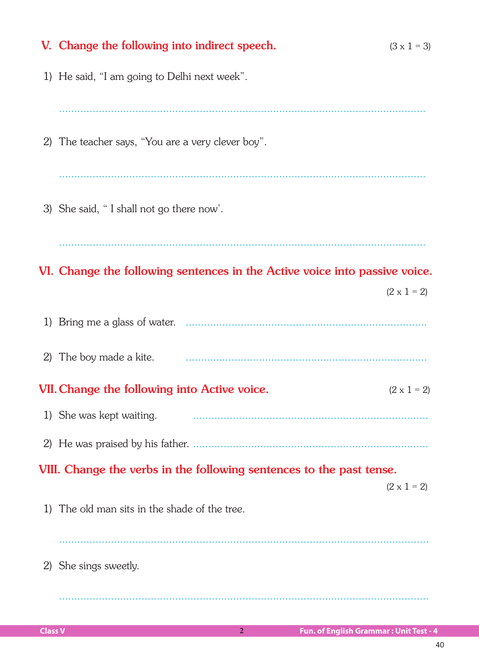|                                                                      | V. Change the following into indirect speech.                              | $(3 \times 1 = 3)$ |  |  |
|----------------------------------------------------------------------|----------------------------------------------------------------------------|--------------------|--|--|
|                                                                      | 1) He said, "I am going to Delhi next week".                               |                    |  |  |
|                                                                      |                                                                            |                    |  |  |
| 2)                                                                   | The teacher says, "You are a very clever boy".                             |                    |  |  |
|                                                                      |                                                                            |                    |  |  |
|                                                                      | 3) She said, "I shall not go there now'.                                   |                    |  |  |
|                                                                      |                                                                            |                    |  |  |
|                                                                      | VI. Change the following sentences in the Active voice into passive voice. |                    |  |  |
|                                                                      |                                                                            | $(2 \times 1 = 2)$ |  |  |
| 1)                                                                   |                                                                            |                    |  |  |
| 2)                                                                   | The boy made a kite.                                                       |                    |  |  |
|                                                                      | VII. Change the following into Active voice.                               | $(2 \times 1 = 2)$ |  |  |
|                                                                      | 1) She was kept waiting.                                                   |                    |  |  |
|                                                                      |                                                                            |                    |  |  |
| VIII. Change the verbs in the following sentences to the past tense. |                                                                            |                    |  |  |
|                                                                      |                                                                            | $(2 \times 1 = 2)$ |  |  |
|                                                                      | 1) The old man sits in the shade of the tree.                              |                    |  |  |
|                                                                      |                                                                            |                    |  |  |
| 2)                                                                   | She sings sweetly.                                                         |                    |  |  |
|                                                                      |                                                                            |                    |  |  |